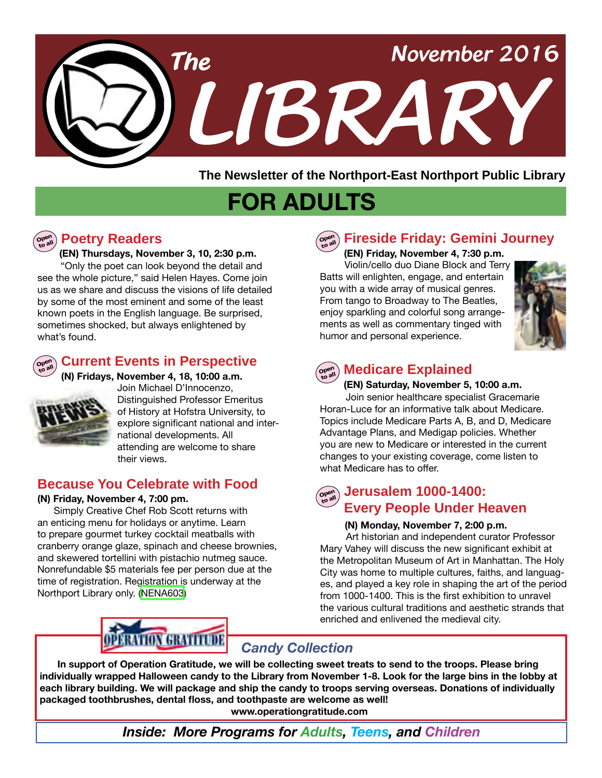

**The Newsletter of the Northport-East Northport Public Library**

# **FOR ADULTS**

# **Open**

#### **Poetry Readers**

 **(EN) Thursdays, November 3, 10, 2:30 p.m.** 

"Only the poet can look beyond the detail and see the whole picture," said Helen Hayes. Come join us as we share and discuss the visions of life detailed by some of the most eminent and some of the least known poets in the English language. Be surprised, sometimes shocked, but always enlightened by what's found.



**Current Events in Perspective** 



**(N) Fridays, November 4, 18, 10:00 a.m.**  Join Michael D'Innocenzo, Distinguished Professor Emeritus of History at Hofstra University, to explore significant national and international developments. All attending are welcome to share their views.

#### **Because You Celebrate with Food**

#### **(N) Friday, November 4, 7:00 pm.**

 Simply Creative Chef Rob Scott returns with an enticing menu for holidays or anytime. Learn to prepare gourmet turkey cocktail meatballs with cranberry orange glaze, spinach and cheese brownies, and skewered tortellini with pistachio nutmeg sauce. Nonrefundable \$5 materials fee per person due at the time of registration. Registration is underway at the Northport Library only. [\(NENA603](http://alpha1.suffolk.lib.ny.us/record%3Dg1067145~S43))



#### **Fireside Friday: Gemini Journey Open to all**

**(EN) Friday, November 4, 7:30 p.m.**

Violin/cello duo Diane Block and Terry Batts will enlighten, engage, and entertain you with a wide array of musical genres. From tango to Broadway to The Beatles, enjoy sparkling and colorful song arrangements as well as commentary tinged with humor and personal experience.



#### **Open to all Medicare Explained**

**(EN) Saturday, November 5, 10:00 a.m.** 

Join senior healthcare specialist Gracemarie Horan-Luce for an informative talk about Medicare. Topics include Medicare Parts A, B, and D, Medicare Advantage Plans, and Medigap policies. Whether you are new to Medicare or interested in the current changes to your existing coverage, come listen to what Medicare has to offer.

#### **Jerusalem 1000-1400: Every People Under Heaven Open to all**

#### **(N) Monday, November 7, 2:00 p.m.**

 Art historian and independent curator Professor Mary Vahey will discuss the new significant exhibit at the Metropolitan Museum of Art in Manhattan. The Holy City was home to multiple cultures, faiths, and languages, and played a key role in shaping the art of the period from 1000-1400. This is the first exhibition to unravel the various cultural traditions and aesthetic strands that enriched and enlivened the medieval city.

## *Candy Collection*

**In support of Operation Gratitude, we will be collecting sweet treats to send to the troops. Please bring individually wrapped Halloween candy to the Library from November 1-8. Look for the large bins in the lobby at each library building. We will package and ship the candy to troops serving overseas. Donations of individually packaged toothbrushes, dental floss, and toothpaste are welcome as well!**

 **www.operationgratitude.com**

*Inside: More Programs for Adults, Teens, and Children*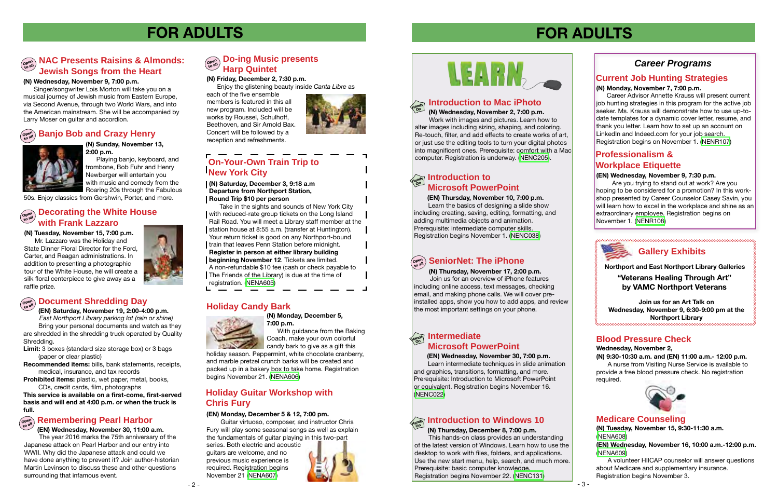#### **Blood Pressure Check**

**Wednesday, November 2,** 

**(N) 9:30-10:30 a.m. and (EN) 11:00 a.m.- 12:00 p.m.** A nurse from Visiting Nurse Service is available to provide a free blood pressure check. No registration required.



 **(EN) Wednesday, November 30, 7:00 p.m.** Learn intermediate techniques in slide animation and graphics, transitions, formatting, and more. Prerequisite: Introduction to Microsoft PowerPoint or equivalent. Registration begins November 16. ([NENC022](http://alpha1.suffolk.lib.ny.us/record%3Dg1001644~S43))

**(N) Thursday, November 17, 2:00 p.m.** Join us for an overview of iPhone features including online access, text messages, checking email, and making phone calls. We will cover preinstalled apps, show you how to add apps, and review the most important settings on your phone.

#### **(N) Friday, December 2, 7:30 p.m.**

Enjoy the glistening beauty inside *Canta Libre* as

each of the five ensemble members is featured in this all new program. Included will be works by Roussel, Schulhoff, Beethoven, and Sir Arnold Bax. Concert will be followed by a reception and refreshments.



#### **(N) Thursday, December 8, 7:00 p.m.**

 This hands-on class provides an understanding of the latest version of Windows. Learn how to use the desktop to work with files, folders, and applications. Use the new start menu, help, search, and much more. Prerequisite: basic computer knowledge. Registration begins November 22. ([NENC131](http://alpha1.suffolk.lib.ny.us/record%3Dg1040832~S43))

# **FOR ADULTS**

#### *Career Programs*

#### **Current Job Hunting Strategies (N) Monday, November 7, 7:00 p.m.**

 Career Advisor Annette Krauss will present current job hunting strategies in this program for the active job seeker. Ms. Krauss will demonstrate how to use up-todate templates for a dynamic cover letter, resume, and thank you letter. Learn how to set up an account on LinkedIn and Indeed.com for your job search. Registration begins on November 1. [\(NENR107](http://alpha1.suffolk.lib.ny.us/record%3Dg1067568~S43))

#### **Open Document Shredding Day**

**(EN) Wednesday, November 30, 11:00 a.m.**  The year 2016 marks the 75th anniversary of the Japanese attack on Pearl Harbor and our entry into WWII. Why did the Japanese attack and could we have done anything to prevent it? Join author-historian Martin Levinson to discuss these and other questions surrounding that infamous event.

**(N) Monday, December 5, 7:00 p.m.**

With guidance from the Baking Coach, make your own colorful candy bark to give as a gift this

holiday season. Peppermint, white chocolate cranberry, and marble pretzel crunch barks will be created and packed up in a bakery box to take home. Registration begins November 21. ([NENA606\)](http://alpha1.suffolk.lib.ny.us/record%3Dg1067466~S43)

# **FOR ADULTS**

- 2 -



#### **Holiday Candy Bark**



#### **Medicare Counseling**

**(N) Tuesday, November 15, 9:30-11:30 a.m.** ([NENA608](http://alpha1.suffolk.lib.ny.us/record%3Dg1067455~S43))

**(EN) Wednesday, November 16, 10:00 a.m.-12:00 p.m.**  ([NENA609](http://alpha1.suffolk.lib.ny.us/record%3Dg1067457~S43))

#### **Open to all Do-ing Music presents Harp Quintet**

A volunteer HIICAP counselor will answer questions about Medicare and supplementary insurance. Registration begins November 3.

**On**

**(EN) Saturday, November 19, 2:00-4:00 p.m.**   *East Northport Library parking lot (rain or shine)* Bring your personal documents and watch as they

Take in the sights and sounds of New York City with reduced-rate group tickets on the Long Island Rail Road. You will meet a Library staff member at the station house at 8:55 a.m. (transfer at Huntington). Your return ticket is good on any Northport-bound train that leaves Penn Station before midnight. **Register in person at either library building** 

**beginning November 12.** Tickets are limited.

are shredded in the shredding truck operated by Quality Shredding.

#### **Open to all Banjo Bob and Crazy Henry** l



#### **Hands On Introduction to Mac iPhoto**

**Limit:** 3 boxes (standard size storage box) or 3 bags (paper or clear plastic)

**Recommended items:** bills, bank statements, receipts, medical, insurance, and tax records

# **Hands On Introduction to Windows 10**

**Prohibited items:** plastic, wet paper, metal, books, CDs, credit cards, film, photographs

#### **NAC Presents Raisins & Almonds:**<br> **Alla Jewish Songs from the Heart**

**This service is available on a first-come, first-served basis and will end at 4:00 p.m. or when the truck is full.**

#### **(N) Tuesday, November 15, 7:00 p.m.**

Mr. Lazzaro was the Holiday and State Dinner Floral Director for the Ford, Carter, and Reagan administrations. In addition to presenting a photographic tour of the White House, he will create a silk floral centerpiece to give away as a raffle prize.

#### **Open to all Decorating the White House with Frank Lazzaro**



**"Veterans Healing Through Art" by VAMC Northport Veterans**

#### **Hands Intermediate Microsoft PowerPoint**

#### **Holiday Guitar Workshop with Chris Fury**

## **Professionalism & Workplace Etiquette**

#### **(EN) Wednesday, November 9, 7:30 p.m.**

# **Hands On Introduction to**

Are you trying to stand out at work? Are you hoping to be considered for a promotion? In this workshop presented by Career Counselor Casey Savin, you will learn how to excel in the workplace and shine as an extraordinary employee. Registration begins on November 1. [\(NENR108](http://alpha1.suffolk.lib.ny.us/record%3Dg1067566~S43))

**(N) Wednesday, November 2, 7:00 p.m.**

 Work with images and pictures. Learn how to alter images including sizing, shaping, and coloring. Re-touch, filter, and add effects to create works of art, or just use the editing tools to turn your digital photos into magnificent ones. Prerequisite: comfort with a Mac computer. Registration is underway. ([NENC205](http://alpha1.suffolk.lib.ny.us/record%3Dg1067232~S43)).

#### **(EN) Monday, December 5 & 12, 7:00 pm.**

 Guitar virtuoso, composer, and instructor Chris Fury will play some seasonal songs as well as explain the fundamentals of guitar playing in this two-part

series. Both electric and acoustic guitars are welcome, and no previous music experience is required. Registration begins November 21 ([NENA607](http://alpha1.suffolk.lib.ny.us/record%3Dg1067561~S43))



# **LEARN**

#### **Remembering Pearl Harbor Open to all**

 **(EN) Thursday, November 10, 7:00 p.m.** Learn the basics of designing a slide show including creating, saving, editing, formatting, and adding multimedia objects and animation. Prerequisite: intermediate computer skills. Registration begins November 1. ([NENC038](http://alpha1.suffolk.lib.ny.us/record%3Dg1003402~S43))

## $\left(\begin{smallmatrix} \infty & 0\\ 0 & 0 \end{smallmatrix}\right)$  SeniorNet: The iPhone

**Microsoft PowerPoint (N) Saturday, December 3, 9:18 a.m Departure from Northport Station, Round Trip \$10 per person**

A non-refundable \$10 fee (cash or check payable to The Friends of the Library) is due at the time of registration. [\(NENA605\)](http://alpha1.suffolk.lib.ny.us/record%3Dg1067680~S43)

## **On-Your-Own Train Trip to New York City**

**(N) Sunday, November 13, 2:00 p.m.** 

Playing banjo, keyboard, and trombone, Bob Fuhr and Henry Newberger will entertain you with music and comedy from the Roaring 20s through the Fabulous

50s. Enjoy classics from Gershwin, Porter, and more.

#### **(N) Wednesday, November 9, 7:00 p.m.**

Singer/songwriter Lois Morton will take you on a musical journey of Jewish music from Eastern Europe, via Second Avenue, through two World Wars, and into the American mainstream. She will be accompanied by Larry Moser on guitar and accordion.

**Northport and East Northport Library Galleries**

**Join us for an Art Talk on Wednesday, November 9, 6:30-9:00 pm at the Northport Library**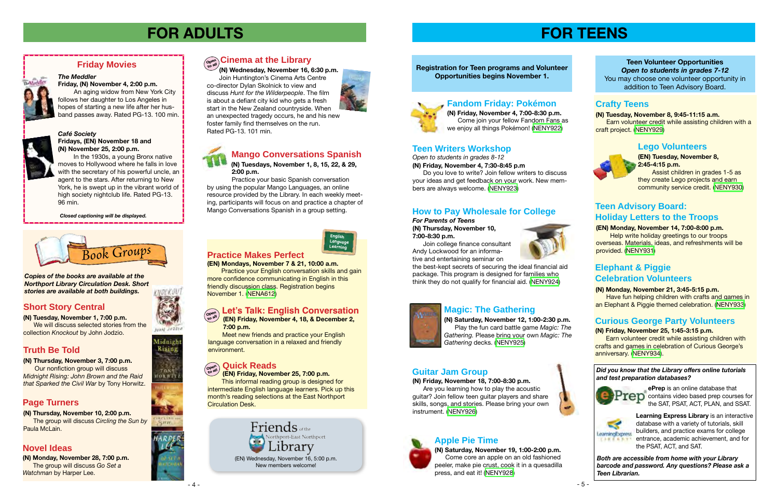*Open to students in grades 8-12*

**(N) Friday, November 4, 7:30-8:45 p.m**

Do you love to write? Join fellow writers to discuss your ideas and get feedback on your work. New members are always welcome. ([NENY923](http://alpha1.suffolk.lib.ny.us/record%3Dg1067209~S43))

## **Closed captioning will be displayed. How to Pay Wholesale for College** Conversations Spanish in a group setting.

**(N) Saturday, November 12, 1:00-2:30 p.m.** Play the fun card battle game *Magic: The Gathering.* Please bring your own *Magic: The Gathering* decks. [\(NENY925](http://alpha1.suffolk.lib.ny.us/record%3Dg1067211~S43))

#### **Registration for Teen programs and Volunteer Opportunities begins November 1.**

#### **Guitar Jam Group**



**(EN) Tuesday, November 8, 2:45-4:15 p.m.** Assist children in grades 1-5 as

they create Lego projects and earn community service credit. ([NENY930\)](http://alpha1.suffolk.lib.ny.us/record%3Dg1067234~S43)

#### **(EN) Monday, November 14, 7:00-8:00 p.m.**

 Help write holiday greetings to our troops overseas. Materials, ideas, and refreshments will be provided. [\(NENY931\)](http://alpha1.suffolk.lib.ny.us/record%3Dg1067241~S43)

# **FOR ADULTS**

**(N) Monday, November 28, 7:00 p.m.** The group will discuss *Go Set a Watchman* by Harper Lee.



## $\left(\begin{smallmatrix} \mathbf{C}\mathbf{C}\mathbf{C}\mathbf{C}\mathbf{C}\mathbf{C}\mathbf{C} \end{smallmatrix}\right)$  Cinema at the Library



**(EN) Friday, November 25, 7:00 p.m.**

 This informal reading group is designed for intermediate English language learners. Pick up this month's reading selections at the East Northport Circulation Desk.

#### **Practice Makes Perfect**

**(EN) Mondays, November 7 & 21, 10:00 a.m.**

 Practice your English conversation skills and gain more confidence communicating in English in this friendly discussion class. Registration begins November 1. ([NENA612\)](http://alpha1.suffolk.lib.ny.us/record%3Dg1067633~S43)

#### **Let's Talk: English Conversation**

#### **Quick Reads Open to all**

Meet new friends and practice your English language conversation in a relaxed and friendly environment.

#### *Café Society* **Fridays, (EN) November 18 and (N) November 25, 2:00 p.m.**

 **(EN) Friday, November 4, 18, & December 2, 7:00 p.m. Open to all**

 In the 1930s, a young Bronx native moves to Hollywood where he falls in love with the secretary of his powerful uncle, an agent to the stars. After returning to New York, he is swept up in the vibrant world of high society nightclub life. Rated PG-13. 96 min.

We will discuss selected stories from the collection *Knockout* by John Jodzio.

#### **Friday Movies**



**(N) Friday, November 4, 7:00-8:30 p.m.** Come join your fellow Fandom Fans as we enjoy all things Pokémon! [\(NENY922\)](http://alpha1.suffolk.lib.ny.us/record%3Dg1067137~S43)

#### **Lego Volunteers**



**(N) Tuesday, November 8, 9:45-11:15 a.m. Earn volunteer credit while assisting children with a** craft project. [\(NENY929\)](http://alpha1.suffolk.lib.ny.us/record%3Dg1067233~S43)

#### **Teen Writers Workshop**

#### **Magic: The Gathering**

#### **Fandom Friday: Pokémon**



**(N) Friday, November 18, 7:00-8:30 p.m.**

 Are you learning how to play the acoustic guitar? Join fellow teen guitar players and share skills, songs, and stories. Please bring your own instrument. ([NENY926](http://alpha1.suffolk.lib.ny.us/record%3Dg1067213~S43))



**(N) Saturday, November 19, 1:00-2:00 p.m.** Come core an apple on an old fashioned peeler, make pie crust, cook it in a quesadilla press, and eat it! ([NENY928](http://alpha1.suffolk.lib.ny.us/record%3Dg1067147~S43))



Midnight Rising

**TON1** HORWIT

## **Apple Pie Time**



**Teen Volunteer Opportunities** *Open to students in grades 7-12* You may choose one volunteer opportunity in addition to Teen Advisory Board.

#### **Crafty Teens**

#### **Teen Advisory Board: Holiday Letters to the Troops**

#### **Curious George Party Volunteers**

**(N) Friday, November 25, 1:45-3:15 p.m.** 

 Earn volunteer credit while assisting children with crafts and games in celebration of Curious George's anniversary. [\(NENY934\)](http://alpha1.suffolk.lib.ny.us/record%3Dg1067245~S43).

#### **(N) Tuesdays, November 1, 8, 15, 22, & 29, 2:00 p.m.**

 Practice your basic Spanish conversation by using the popular Mango Languages, an online resource provided by the Library. In each weekly meeting, participants will focus on and practice a chapter of Mango Conversations Spanish in a group setting.

## **Mango Conversations Spanish**

#### **Truth Be Told**

#### **Page Turners**

#### **Novel Ideas**

## **Short Story Central**

**(N) Tuesday, November 1, 7:00 p.m.**

#### **(N) Thursday, November 3, 7:00 p.m.** Our nonfiction group will discuss

*Midnight Rising: John Brown and the Raid that Sparked the Civil War* by Tony Horwitz.

#### **(N) Thursday, November 10, 2:00 p.m.** The group will discuss *Circling the Sun by* Paula McLain.

#### *The Meddler*

**Friday, (N) November 4, 2:00 p.m.**  An aging widow from New York City follows her daughter to Los Angeles in hopes of starting a new life after her husband passes away. Rated PG-13. 100 min.



*For Parents of Teens* **(N) Thursday, November 10, 7:00-8:30 p.m.**

 Join college finance consultant Andy Lockwood for an informative and entertaining seminar on



the best-kept secrets of securing the ideal financial aid package. This program is designed for families who think they do not qualify for financial aid. [\(NENY924\)](http://alpha1.suffolk.lib.ny.us/record%3Dg1067140~S43)



#### **Elephant & Piggie Celebration Volunteers**

#### **(N) Monday, November 21, 3:45-5:15 p.m.**

 Have fun helping children with crafts and games in an Elephant & Piggie themed celebration. ([NENY933\)](http://alpha1.suffolk.lib.ny.us/record%3Dg1067243~S43)

**(N) Wednesday, November 16, 6:30 p.m.**

 Join Huntington's Cinema Arts Centre co-director Dylan Skolnick to view and discuss *Hunt for the Wilderpeople*. The film is about a defiant city kid who gets a fresh start in the New Zealand countryside. When an unexpected tragedy occurs, he and his new foster family find themselves on the run. Rated PG-13. 101 min.







New members welcome!

*Copies of the books are available at the Northport Library Circulation Desk. Short stories are available at both buildings.*

> *Did you know that the Library offers online tutorials and test preparation databases?*



 $\overline{a}$ 

**ePrep** is an online database that  $TCD$  contains video based prep courses for the SAT, PSAT, ACT, PLAN, and SSAT.



**Learning Express Library** is an interactive database with a variety of tutorials, skill builders, and practice exams for college entrance, academic achievement, and for the PSAT, ACT, and SAT.

*Both are accessible from home with your Library barcode and password. Any questions? Please ask a Teen Librarian.*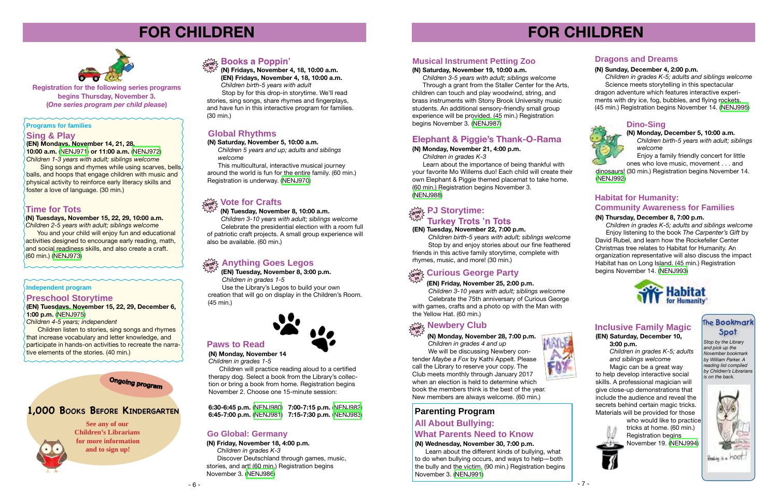# **FOR CHILDREN**



**Registration for the following series programs begins Thursday, November 3. (***One series program per child please***)**

#### **Sing & Play**

#### **(EN) Mondays, November 14, 21, 28, 10:00 a.m.** ([NENJ971](http://alpha1.suffolk.lib.ny.us/record%3Dg1067525~S43)) **or 11:00 a.m.** [\(NENJ972\)](http://alpha1.suffolk.lib.ny.us/record%3Dg1067526~S43)

*Children 1-3 years with adult; siblings welcome* Sing songs and rhymes while using scarves, bells, balls, and hoops that engage children with music and physical activity to reinforce early literacy skills and foster a love of language. (30 min.)

> *Children birth-5 years with adult; siblings welcome* Stop by and enjoy stories about our fine feathered friends in this active family storytime, complete with rhymes, music, and more! (30 min.)

## $\frac{1}{\alpha \alpha \beta}$  Curious George Party

#### drop **2 Anything Goes Legos Community Community Anything Goes Legos Community Community Community Community** Community Community Community Community Community Community Community Community Community Community Community **in**

#### **(N) Tuesday, November 8, 10:00 a.m.**

 *Children 3-10 years with adult; siblings welcome* Celebrate the presidential election with a room full of patriotic craft projects. A small group experience will also be available. (60 min.)

#### **Programs for families**

#### **(EN) Tuesday, November 22, 7:00 p.m.**

#### $\mathbb{M}$ <sub>dro</sub>p>્ર Newbery Club **in**

# **FOR CHILDREN**

#### **Books a Poppin' drop**

#### **PJ Storytime: Turkey Trots 'n Tots**

**(N) Fridays, November 4, 18, 10:00 a.m. (EN) Fridays, November 4, 18, 10:00 a.m.**  *Children birth-5 years with adult* **in**

 Stop by for this drop-in storytime. We'll read stories, sing songs, share rhymes and fingerplays, and have fun in this interactive program for families. (30 min.)

> **(N) Monday, November 28, 7:00 p.m.**  *Children in grades 4 and up*

 We will be discussing Newbery contender *Maybe a Fox* by Kathi Appelt. Please call the Library to reserve your copy. The Club meets monthly through January 2017 when an election is held to determine which book the members think is the best of the year. New members are always welcome. (60 min.)

**(EN) Tuesday, November 8, 3:00 p.m.**  *Children in grades 1-5*

 creation that will go on display in the Children's Room. Use the Library's Legos to build your own (45 min.)



Learn about the different kinds of bullying, what to do when bullying occurs, and ways to help—both the bully and the victim. (90 min.) Registration begins November 3. ([NENJ991](http://alpha1.suffolk.lib.ny.us/record%3Dg1067304~S43))





#### **Global Rhythms**

#### **Musical Instrument Petting Zoo**

#### **Preschool Storytime**

#### **(EN) Tuesdays, November 15, 22, 29, December 6, 1:00 p.m.** ([NENJ975](http://alpha1.suffolk.lib.ny.us/record%3Dg1067473~S43))

*Children 4-5 years; independent*

who would like to practice tricks at home. (60 min.) Registration begins November 19. [\(NENJ994\)](http://alpha1.suffolk.lib.ny.us/record%3Dg1067681~S43)

Children listen to stories, sing songs and rhymes that increase vocabulary and letter knowledge, and participate in hands-on activities to recreate the narrative elements of the stories. (40 min.)

#### **Independent program**

#### **Paws to Read**

#### **(N) Saturday, November 19, 10:00 a.m.**

*Children 3-5 years with adult; siblings welcome*

You and your child will enjoy fun and educational activities designed to encourage early reading, math, and social readiness skills, and also create a craft. (60 min.) [\(NENJ973](http://alpha1.suffolk.lib.ny.us/record%3Dg1067474~S43))

This multicultural, interactive musical journey around the world is fun for the entire family. (60 min.) Registration is underway. ([NENJ970](http://alpha1.suffolk.lib.ny.us/record%3Dg1065873~S43))

 Through a grant from the Staller Center for the Arts, children can touch and play woodwind, string, and brass instruments with Stony Brook University music students. An additional sensory-friendly small group experience will be provided. (45 min.) Registration begins November 3. [\(NENJ987\)](http://alpha1.suffolk.lib.ny.us/record%3Dg1065879~S43)

#### **Elephant & Piggie's Thank-O-Rama**

#### **(N) Monday, November 21, 4:00 p.m.**

Enjoy a family friendly concert for little ones who love music, movement . . . and

*Children in grades K-3*

 Learn about the importance of being thankful with your favorite Mo Willems duo! Each child will create their own Elephant & Piggie themed placemat to take home. (60 min.) Registration begins November 3. [\(NENJ988\)](http://alpha1.suffolk.lib.ny.us/record%3Dg1067136~S43)

**(N) Monday, November 14** *Children in grades 1-5*

 Children will practice reading aloud to a certified therapy dog. Select a book from the Library's collection or bring a book from home. Registration begins November 2. Choose one 15-minute session:

**6:30-6:45 p.m.** [\(NENJ980](http://alpha1.suffolk.lib.ny.us/record%3Dg1065875~S43)) **7:00-7:15 p.m.** [\(NENJ982\)](http://alpha1.suffolk.lib.ny.us/record%3Dg1065877~S43) **6:45-7:00 p.m.** [\(NENJ981](http://alpha1.suffolk.lib.ny.us/record%3Dg1065876~S43)) **7:15-7:30 p.m.** [\(NENJ983\)](http://alpha1.suffolk.lib.ny.us/record%3Dg1065878~S43)

#### **(N) Wednesday, November 30, 7:00 p.m.**

#### **All About Bullying: Go Global: Germany What Parents Need to Know**

**(N) Friday, November 18, 4:00 p.m.**

#### **Vote for Crafts drop in**

 *Children in grades K-3* Discover Deutschland through games, music, stories, and art! (60 min.) Registration begins November 3. [\(NENJ986\)](http://alpha1.suffolk.lib.ny.us/record%3Dg1066970~S43)

*Children in grades K-5; adults and siblings welcome* 

 Magic can be a great way to help develop interactive social skills. A professional magician will give close-up demonstrations that include the audience and reveal the secrets behind certain magic tricks. Materials will be provided for those

#### **Dino-Sing**

#### **The Bookmark Spot**

*Stop by the Library and pick up the November bookmark by William Parker. A reading list compiled by Children's Librarians is on the back.*



**See any of our Children's Librarians for more information and to sign up!**

## **1,000 Books Before Kindergarten**



**Ongoing program**

**Time for Tots**

**(N) Tuesdays, November 15, 22, 29, 10:00 a.m.** *Children 2-5 years with adult; siblings welcome*

#### **(N) Saturday, November 5, 10:00 a.m.**

 *Children 5 years and up; adults and siblings welcome*

#### **(EN) Saturday, December 10, 3:00 p.m. Inclusive Family Magic**

#### **(EN) Friday, November 25, 2:00 p.m.**

*Children 3-10 years with adult; siblings welcome* Celebrate the 75th anniversary of Curious George with games, crafts and a photo op with the Man with the Yellow Hat. (60 min.)

## **Parenting Program**

#### **(N) Monday, December 5, 10:00 a.m.**

*Children birth-5 years with adult; siblings welcome*

dinosaurs! (30 min.) Registration begins November 14. ([NENJ992](http://alpha1.suffolk.lib.ny.us/record%3Dg1065880~S43))

#### **Habitat for Humanity: Community Awareness for Families**

#### **(N) Thursday, December 8, 7:00 p.m.**

*Children in grades K-5; adults and siblings welcome* Enjoy listening to the book *The Carpenter's Gift* by David Rubel, and learn how the Rockefeller Center Christmas tree relates to Habitat for Humanity. An organization representative will also discuss the impact Habitat has on Long Island. (45 min.) Registration begins November 14. ([NENJ993](http://alpha1.suffolk.lib.ny.us/record%3Dg1067143~S43))



#### **Dragons and Dreams**

#### **(N) Sunday, December 4, 2:00 p.m.**

 *Children in grades K-5; adults and siblings welcome* Science meets storytelling in this spectacular dragon adventure which features interactive experiments with dry ice, fog, bubbles, and flying rockets. (45 min.) Registration begins November 14. [\(NENJ995\)](http://alpha1.suffolk.lib.ny.us/record%3Dg1067585~S43)